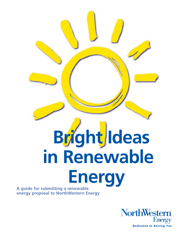# **Bright Ideas in Renewable Energy A guide for submitting a renewable**

**energy proposal to NorthWestern Energy**

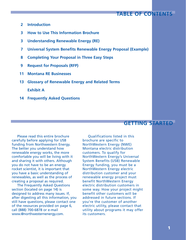# **TABLE OF CONTENTS**

- **2 Introduction**
- **3 How to Use This Information Brochure**
- **3 Understanding Renewable Energy (RE)**
- **7 Universal System Benefits Renewable Energy Proposal (Example)**
- **8 Completing Your Proposal in Three Easy Steps**
- **9 Request for Proposals (RFP)**
- **11 Montana RE Businesses**
- **13 Glossary of Renewable Energy and Related Terms**

**Exhibit A**

**14 Frequently Asked Questions**

# **GETTING STARTED**

Please read this entire brochure carefully before applying for USB funding from Northwestern Energy. The better you understand how renewable energy works, the more comfortable you will be living with it and sharing it with others. Although you do not have to be an energy rocket scientist, it is important that you have a basic understanding of renewables, as well as the process of creating a proposal as required.

The Frequently Asked Questions section (located on page 14) is designed to address many issues. If, after digesting all this information, you still have questions, please contact one of the resources provided on page 6, call (888) 700-6878 or e-mail www.@northwesternenergy.com.

Qualifications listed in this brochure are specific to NorthWestern Energy (NWE) Montana electric distribution customers. To qualify for NorthWestern Energy's Universal System Benefits (USB) Renewable Energy funding, you must be a NorthWestern Energy electric distribution customer and your renewable energy project must benefit NorthWestern Energy electric distribution customers in some way. How your project might benefit other customers will be addressed in future sections. If you're the customer of another electric utility, please contact that utility about programs it may offer its customers.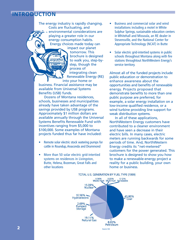# **INTRODUCTION**

The energy industry is rapidly changing. Costs are fluctuating, and environmental considerations are playing a greater role in our energy consumption habits. Energy choices made today can

impact our planet tomorrow. This brochure is designed to walk you, step-bystep, though the process of integrating clean Renewable Energy (RE) into your home or

business. Financial assistance may be available from Universal Systems Benefits (USB) funds.

Dozens of Montana residences, schools, businesses and municipalities already have taken advantage of the savings provided by USB programs. Approximately \$1 million dollars are available annually through the Universal Systems Benefits Renewable Fund with incentives ranging from \$5,000 to \$100,000. Some examples of Montana projects funded thus far have included:

- Remote solar electric stock watering pumps for cattle in Roundup, Anaconda and Drummond
- More than 50 solar electric grid-intertied systems on residences in Livingston, Butte, Helena, Bozeman, Great Falls and other locations
- Business and commercial solar and wind installations including a motel in White Sulphur Springs, sustainable education centers in Whitehall and Missoula, an RE dealer in Stevensville, and the National Center for Appropriate Technology (NCAT) in Butte
- Solar electric grid-intertied systems in public schools throughout Montana along with fire stations throughtout NorthWestern Energy's service territory.

Almost all of the funded projects include public education or demonstration to enhance awareness about the opportunities and benefits of renewable energy. Projects proposed that demonstrate benefits to more than one public purpose are preferred, for example, a solar energy installation on a low-income qualified residence, or a wind turbine providing line support for weak distribution systems.

In all of these applications, NorthWestern Energy customers have contributed to a cleaner environment and have seen a decrease in their electric bills. In many cases, electric meters are running backwards for some periods of time. And, NorthWestern Energy credits its "net-metered" customers for the power generated. This brochure is designed to show you how to make a renewable-energy project a reality for a public building, your own home or business.

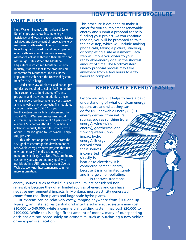# **HOW TO USE THIS BROCHURE**

# **WHAT IS USB?**

NorthWestern Energy's USB (Universal System Benefits) program; low-income energy assistance; and weatherization; energy-efficiency activities and development of renewable-energy resources. NorthWestern Energy customers have long participated in and helped pay for energy efficiency and low-income energy assistance activities through their electric and natural gas rates. When the Montana Legislature restructured Montana's energy industry, it agreed that these programs are important for Montanans. The result: the Legislature established the Universal System Benefits (USB) Charge.

Under state law, all electric and natural-gas utilities are required to collect USB funds from their customers to fund energy-efficiency programs and activities. In addition, those funds support low-income energy assistance and renewable energy projects. This regulated charge is listed as "USBC" on your NorthWestern Energy billing statement. The typical NorthWestern Energy residential customer pays an average of \$1 per month in electric USB charges. About \$8.6 million is collected annually through this charge, with about \$1 million going to Renewable Energy (RE) projects.

This information packet comes from the USB goal to encourage the development of renewable energy resource projects that use environmentally friendly technology to generate electricity. As a NorthWestern Energy customer, you support and may qualify to participate in a USB funded program. See the Web site www.northwesternenergy.com for more information.

This brochure is designed to make it easier for you to implement renewable energy and submit a proposal for help funding your project. As you continue reading, you will be prompted to take the next step, which will include making phone calls, taking a picture, studying, or completing a site assessment. Each step will move you closer to your renewable-energy goal in the shortest amount of time. The NorthWestern Energy proposal process may take anywhere from a few hours to a few weeks to complete.

# **RENEWABLE ENERGY BASICS**

Before we begin, it helps to have a basic understanding of what our clean energy options are and what they can do for us. Renewable Energy (RE) is energy derived from natural sources such as sunshine (solar energy), wind (wind energy), geothermal and flowing water (lowimpact hydro energy). Energy derived from these sources is converted

directly to heat or to electricity. It is considered "green" energy because it is in unlimited supply and is largely non-polluting. In contrast, traditional

energy sources, such as fossil fuels or uranium, are considered nonrenewable because they offer limited sources of energy and can have negative environmental impacts. In Montana, most electricity generated comes from coal-fired plants and large-scale hydro plants.

RE systems can be relatively costly, ranging anywhere from \$500 and up. Typically, an installed residential grid intertie solar electric system may cost \$10,000 to \$40,000, while a commercial building system may cost \$20,000 to \$100,000. While this is a significant amount of money, many of our spending decisions are not based solely on economics, such as purchasing a new vehicle or an expensive vacation.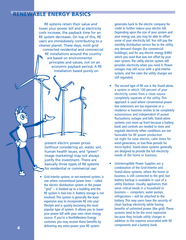# **RENEWABLE ENERGY BASICS**

RE systems retain their value and lower your power bill and as electricity costs increase, the payback time for an RE system decreases. On top of this, RE users are immediately contributing to a cleaner planet. These days, most gridconnected residential and commercial RE installations around the country are based on environmental principles and values, not on an economic payback period. A RE installation based purely on

present electric power prices (without considering air, water, soil, human health issues, and "green" image marketing) may not always justify the investment. There are basically three types of RE systems for residential or commercial use:

• Grid-intertie system, or net-metered system, is one where conventional power lines – called the electric distribution system or the power "grid" – is hooked up to a building and the RE system is tied into it. Battery storage is not involved. This system is generally the least expensive way to incorporate RE into your lifestyle and is quickly becoming the most popular type of system. It allows you to lower your power bill with your own clean energy source. If you're a NorthWestern Energy customer, you may receive these benefits by delivering any extra power your RE system

generates back to the electric company for credit to further reduce your electric bill. Depending upon the size of your system and your energy use, you may be able to offset some of your electricity bill. You still pay the monthly distribution service fee to the utility, any demand charges (for commercial buildings), and for any electric energy (kWh) which you used that was not offset by your own system. The utility electric system still provides electricity when you need it. Power outages may still occur with a grid-intertie system, and the rates the utility charges are still regulated.

- The second type of RE use is the Stand-alone, a system in which 100 percent of your electricity comes from a clean source completely separate of the utility. This approach is used where conventional power line extensions are too expensive or a residence or business wishes to be completely autonomous and independent of power fluctuations, outages and bills. Stand-alone systems cost more up front because a battery bank and controls are needed to store and regulate electricity when conditions are not favorable for RE power production (at night for solar electric, calm times for wind generators, or low-flow periods for micro-hydro). Stand-alone systems generally are designed to provide the full electricity needs of the home or business.
- Uninterruptible Power Supplies are a combination of the Grid-Intertie and Stand-alone systems, where the home or business is still connected to the grid, but battery backup is available in case of a utility blackout. Usually, appliances that serve critical needs in a household or business – computers, water pumps, refrigerators – will be attached to the battery. This way users have the security of clean backup electricity while having benefits of unlimited power (the grid). These systems tend to be the most expensive because they include utility charges in addition to the expense associated with RE components and a battery bank.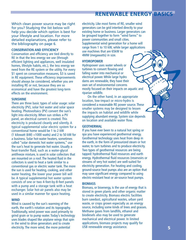# **RENEWABLE ENERGY BASICS**

Which clean power source may be right for you? Studying the list below will help you decide which option is best for your lifestyle and location. For more detailed explanations, please refer to the bibliography on page 6.

## **CONSERVATION AND EFFICIENCY**

Conservation and efficiency are tied directly to RE in that the less energy we use (through efficient lighting and appliances, well insulated homes, lifestyle habits, etc.), the less energy we need from the RE system or the utility. For every \$1 spent on conservation measures, \$3 is saved in RE equipment. These efficiency improvements should always be considered, whether you are installing RE or not, because they are so economical and have the greatest long-term effects on the environment.

#### **SUNSHINE**

There are three basic types of solar usage: solar electricity (PV), solar hot water and solar space heating. Photovoltaics (PV) convert the sun's light into electricity. When sun strikes a PV panel, an electrical current is created. This electricity is produced cleanly and silently. A typical supplemental solar electric system for a conventional home would be 1 to 2 kW (1 kilowatt (kW)  $=1000$  watts) and 2 to 50 kW for a business. Solar hot-water heaters, sometimes called "solar domestic hot water systems," use the sun's heat to generate hot water. Usually a heat-transfer fluid, such as a water-glycol antifreeze mixture, is used in solar collectors that are mounted on a roof. The heated fluid in the collectors is used to heat a tank similar to a conventional gas or electric water tank. The more the sun is used for heating, cooking, and other water heating, the lower your power bill will be. A typical supplemental hot water system consists of one or two 4-feet-by-8-feet panels with a pump and a storage tank with a heat exchanger. Solar hot-air panels also may be used in a similar manner for space heating.

## **WIND**

Wind is caused by the sun's warming of the earth, the earth's rotation and its topography. Traditionally, wind power was used primarily to grind grain or to pump water. Today's technology uses blades shaped like airplane wings that spin in the wind to drive generators and to create electricity. The more wind, the more potential

electricity. Like most forms of RE, smaller wind generators can be grid intertied directly to your existing home or business. Larger generators can be grouped together to form "wind farms" to power communities and small cities. Supplemental wind generation for a home will range from 1 to 10 kW, while larger applications use machines that are 65kW to 4MW (megawatts) in size.

## **HYDROPOWER**

Hydropower uses water wheels or turbines to convert flowing and falling water into mechanical or electrical power. While large hydro dams are renewable, they have their own set of environmental concerns mostly focused on their impacts on aquatic and riparian wildlife.

On the other hand, in an appropriate location, low-impact or micro-hydro is considered a reasonable RE power source. These smaller systems may be designed to lessen the impacts on habitat and wildlife while supplying abundant energy. System size depends on location and available water flow.

## **GEOTHERMAL**

If you have ever been to a natural hot spring or spa you have experienced geothermal energy. Geothermal technology uses heat from deep in the earth, in the form of pressurized steam or hot water, to turn turbines and to produce electricity. Two types of geothermal resources are being tapped: hydrothermal fluid resources and earth energy. Hydrothermal fluid resources (reservoirs or streams of very hot water) are well-suited for electricity generation. For heating and cooling, ground-source heat pumps also are an option that may save significant energy compared to using electric-resistant heat or air-source heat pumps.

#### **BIOMASS**

Biomass, or bioenergy, is the use of energy that is stored in green plants and other organic matter to create electricity. Biomass electric facilities burn sawdust, agricultural wastes, urban yard waste, or crops grown especially as an energy source, including some kinds of trees and grasses. Methane gases from landfills, ethanol and biodiesels also may be used to generate mechanical and electrical power. In limited applications, biomass projects may qualify for USB renewable energy assistance.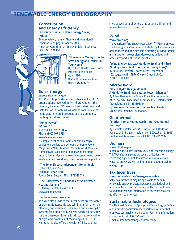# **RENEWABLE ENERGY BIBLIOGRAPHY**

# **Conservation and Energy Efficiency**

**"Consumer Guide to Home Energy Savings (7th Ed)"**

By Alex Wilson, Jennifer Thorne and John Morrill Paperback-225 pages (January 2000) American Council for an Energy Efficient Economy; ISBN: 0918249384



**"Homemade Money: How to Save Energy and Dollars in Your Home"** By Richard Heede, Owen Bailey Paperback-258 pages (July 1996) Rocky Mountain Institute; ISBN: 188317807X

## **Solar Energy www.eere.energy.gov**

This Web site provides a comprehensive list of U.S. organizations involved in PV (Photovoltaics). The directory includes PV manufacturers, designers and installers of PV systems, as well as companies that manufacture related products such as pumping, lighting or battery systems.

## **"Home Power"**

PO Box 520 Ashland, OR 97520 USA Phone: (800) 707-6585 www.homepower.com A complete list of solar and renewable energy equipment dealers can be found at Home Power Magazine's Web site under "Search for RE Dealers."

Home Power is a leading RE magazine featuring informative articles on renewable energy, how-to downloads, solar and wind maps, and numerous helpful links.

## **"The Solar Electric Independent Home Book"**

By New England Solar Paperback (May 1991) Fowler Solar Electric; ISBN: 1879523019

#### **"The Homeowner's Handbook of Solar Water Heating Systems"**

B. Keisling, Rodale Press, 1983. www.abebooks.com

## **montanagreenpower.com**

This Web site provides the latest news on renewable energy in Montana. Visitors will find information on planning and designing solar, wind and micro-hydro systems for a home or business; hands-on activities for the classroom; forums for discussing renewable energy; and examples of technologies in use in Montana. It also offers a wealth of links to other

sites as well as a directory of Montana utilities and renewable energy businesses.

## **Wind**

#### **www.awea.org**

The American Wind Energy Association (AWEA) promotes wind energy as a clean source of electricity for consumers around the world. This site lists a directory of wind-turbine manufacturers, power plant developers, utilities and others involved in the wind industry.

**"Wind Energy Basics: A Guide to Small and Micro Wind Systems (Real Goods Solar Living Book)"** By Paul Gipe (Preface), Karen Perez - Paperback 122 pages, (April 1999), Chelsea Green Pub Co; ISBN: 1890132071

## **Micro-Hydro**

**"Micro-Hydro Design Manual: A Guide to Small-Scale Water Power Schemes"**

By Adam Harvey, Andy Brown, Priyantha Hettiarachi, Allen Inversin - Paperback (February 1993) Intermediate Technology; ISBN: 1853391034

**Hydro-Power Source Book: a Practical Guide** NRECA International Foundation.

## **Geothermal**

**"Stories from a Heated Earth – Our Geothermal Heritage"**

By Raffaele Cataldi, John W. Lund, Susan F. Hodgson Paperback-588 pages 1 edition Vol. 1 (October 19, 1999) Geothermal Resources Council; ISBN: 0934412197

## **Biomass**

## **www.ott.doe.gov**

Biomass is the oldest known source of renewable energy. This Web site lists some practical applications for converting agricultural, forestry or municipal or solid waste to energy as well as information about growing energy crops.

## **Tax Incentives**

#### **www.deq.state.mt.us/energy/renewable**

Some tax incentives may be applicable to certain renewable energy projects. Because state, federal and municipal tax codes change frequently, be sure to refer to updated Web site information to see what projects qualify from year to year.

## **Sustainable Technologies**

The National Center for Appropriate Technology (NCAT) is a non-profit organization headquartered in Butte that promotes sustainable technologies. For more information, contact NCAT at (800) 275-6228 or by e-mail at info@montanagreenpower.com.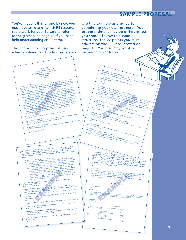# **SAMPLE PROPOSAL**

You've made it this far and by now you may have an idea of which RE resource could work for you. Be sure to refer to the glossary on page 13 if you need help understanding an RE term.

The Request for Proposals is used when applying for funding assistance.

Use this example as a guide to completing your own proposal. Your proposal details may be different, but you should follow this same structure. The 22 points you must address on the RFP are located on page 10. You also may want to include a cover letter.

Extra complete the complete of the complete the complete of the complete of the complete complete the properties of the complete of the complete of the complete of the complete of the complete of the complete of the comple 20. NET METERING IS DONE BY INSTALLING A STAN-DARD KILOWATT-HOUR METER BETWEEN THE RENEWABLE ENER-GY SYSTEM AND THE UTILITY DISTRIBUTION SYSTEM. THE RENEWABLE ENERGY SYSTEM IS WIRED IN PARALLEL WITH THE UTILITY DISTRIBUTION SYSTEM. IF THE RENEWABLE GENER-ATOR GENERATES MORE POWER THAN THE PREMISES REQUIRES THE METER WILL RUN BACKWARDS. THE FORWARD AND BACKWARD MOVEMENT OF THE METER IS NETTED OUT AT THE END OF THE YEAR. THE METER MAY REQUIRE SPECIAL PROGRAMMING. WILL THE PROJECT REQUIRE NET METERING? YES/NO Yes 21. SUMMARY This project provides a unique opportunity for NorthWestern Energy and all Montana residents to learn and<br>incorporate renewable energies and energy efficiency into their daily lives. The project demonstrates the latest<br>ne in solar electric technologies complimented by conservation. Roper Public Library will minimize for later and demonstrate low-impact sustainable design. We encourage NorthWestern Energy will minimize for later<br>use and demo  $\tan$  of this project. BID SHEET EXAMPLE Solar Plus Concepts, Inc 1-1-01 Dear Mrs. Carter, Attached please find an outline and budget estimate for your PV grid-intertie system for the Roper Public Library. Please remember<br>Please call if you have any a distinguish will give system for your PV grid-intertie system that this is a rough estimate. I hope this extingue for your PV grid-interitie system for the Roper Public Library. Please reme<br>Please call if you have any emphasize. I look forward to working so get started with for your Please call if you have any questions. I look forward to working with distance with the Roper Public I.<br>Sincerely, the state of the state of the project develops in the state of with you as this project develops. Thanks. Sincerely, William Roberts Solar Plus Concepts QUOTATION 1/1/01 The project would consist of the following components with the following budget estimates<br>Quantity Components<br>  $\sim$ QuantityComponents Components with the following budget est (12)  $Siemens 100$  watt PV panels \$6,720 Trace Sun Tie ST watt grid-intertie Inverter \$2,000 (2) *Inverter*<br>(1) PV rack roof <sub>mount</sub> \$1,000 (1) PV rack toof mount<br>(1) Cable, conduit, misc. \$31,000<br>[1) Installation -<br>\$3000 (1) Cable, conduit, mise, 1986, 1,000<br>Installation 1,000 S300<br>Educational material and dientss. 1,000<br>S1,000 (1) Installation 5.30<br>Educational material and displays 510<br>5250<br>5250 \$11,270 Total The transformation of the property of the transformation of the effective of the present to the best of the presentation of the best of the presentation of the property and required and response the share of the property i 13. DESCRIPTION OF ALL BENEFITS ADDITIONAL TO GENERATED ENERGY AND CAPACITY, I.E.<br>13. DESCRIPTION OF ALL BENEFITS ADDITIONAL TO GENERATED ENERGY AND INCOME CUS-<br>EDICATION, INFORMATION, MARKET TRANSFORMATION, ENERGY DE LOW . Educational showcase and demonstration site for the Public constant energy design and<br>1. Educational showcase and demonstration site for the Public constant energy design measure. The projects will said mate<br>2. Marked T 14. IDENTIFY THE CUSTOMER GROUP THE PROJECT BENEFITS, I.E., RESIDENTIAL,<br>
14. IDENTIFY THE CUSTOMER GROUP THE PROJECT BENEFITS, I.E., RESIDENTIAL,<br>
COMMERCIAL, LOW NCOME<br> **EXECUTE:** PROJECT, I.E., VISUAL IMPACT THE MEXICIAL LOW INCOMENTAL IMPACTS OF THE PROJECT, LE., VISUAL IMPACT OF WIND<br>
Primarily residential and low-incomes<br>
Primarily residential ENVIRONMENTAL IMPACTS OF THE PROJECT, LE., VISUAL IMPACT OF WIND<br>
RESULTING FROM 16. DESCRIBE ANY NECESSARY MAINTENANCE REQUIRED BY EQUIPMENT OVER THE LIFE<br>16. DESCRIBE ANY NECESSARY MAINTENANCE REQUIRED BY EQUIPMENT OVER THE LIFE<br>OF THE PROJECT 17. IDENTIFY SOURCES OF FUNDING TO BE USED TO ASSURE PROJECT REACHES EXPECTED 17. IDENTIFY SOURCES OF FUNDING TO 2<br>LIFE<br>Roper Public Library will supply all funding associated with executing RE education plan after the initial<br>installation of the solar electric equipment <sub>18. DESCRIBE ANY MONITORING AND VERIFICATION PLAN<br>I8. DESCRIBE ANY MONITORING AND verifies to have a monitoring device installed along with the<br>if NorthWestern Energy requires we would be willing to have a monitoring devi</sub> 19. WILL THIS PROJECT BE USED TO SUPPLY ELECTRIC POWER TO NorthWestern Energy CUS-TOMERS? YES/NO Yes 1. PROJECT DESCRIPTION<br>TRANSPORT DESCRIPTION<br>TRANSPORT DESCRIPTION CONTROL ENTERTAINMENT CONTROL DESCRIPTION IN CONTROL DESCRIPTION of the computer of the<br>TRANSPORT SAN ARREST IN CONTROL CONTROL CONTROL TO THE CONTROL OF T PROPOSAL<br>
USB Funded Renewable Energy Project<br>
USB Funded Renewable Energy Public Library<br>
Town of Roper, Montana<br>
Town of Roper, Montana<br>
Anna Carter, Director<br>
Anna Carter, Director and the state of the SCRIPTION<br>Technology - Applies the School Counter and I am discusse of the Report Public Laboration Respect Meetings and<br>Technology - App name is Appais Counter and serves a community of School County ing order by power and 1800 starters were reading but the power power and the second that the second in the construction of the power and the second in the power second in the power second in the power second in the power in the plane of the boundary of the second companies of the boys in the second and respect that we have the New York of the second of the second of the second of the second of the second of the second of the second of the are seeking funding to incorporate company into the seeking funding to incorporate clean, renewable company in<br>In this included in the affect president company into our by a grid-intertied solar description for a grid-int<br> set and at the same time, the venture of the venture would contribute to the venture and the venture of the ve<br>ac of mandator and the venture would contribute to a cleaner environment. The Town Council is also enthusiastic involving the community in education lecture series regarding conservation and renewable energy sources.<br>In education in the lineary very some regarding conservation in education reduces and renewable energy sources<br>In edu 2. PROJECT LOCATION <sub>t</sub> and at the community in catenulary<br><sub>L</sub>eppolitics LOCATION<br>Leppolitics site is located at 12 ABC Street, Roper, MT. It is zoned residential or commercial.<br>The project site is located at 12 ABC Street, Roper, MT. It is z .<br>ALL EXPECTED HARDWARE<br>1000 actual watts of Photovoltaics, me PROJECT LOCATION<br>in project site is locared a L2 ABC Street, Reper, MT. It is exampled grid-intertie inverter with all related safety equip-<br>in project site is locared a LAD WARE<br>- MT. Express of Photomobiales, and misc. l ALL EXPECTED PROVIDING FROM THE SURFAINT OF COSTS<br>100 and value of Project costs and misc. I solar colorational lat (see allassing)<br>Total project cost: \$11,270: \$10,020 for bardware, \$1,000 installation, plus \$250 for educ ested from USB: \$6,470.00 Solar projects, and the project of the content of the content of the content of the content of the content of the content of the content of the content of the content of the content of the content of the content of the con For our Part, we plan on Providing \$3,000,00 in costs and will spend a minimum of LO hours @ 515 per hours of the Conception And Conception and educational and will spend a minimum of LO hands of the Conception find the Co  $5. At L$  DESIGN CONSULTANTS NAMES AND ADDRESSES (For Associate And Figure A)  $\frac{1}{10}$  and  $\frac{1}{10}$  and  $\frac{1}{10}$  west Ave.<br>ABC West Ave.<br> $\frac{1}{10}$  West Ave.<br> $\frac{1}{10}$  West Ave.<br> $\frac{1}{10}$  West Ave.<br> $\frac{1}{10}$  West Av (40  $\begin{tabular}{l|p{0.5em}p{0.5em}p{0.5em}p{0.5em}p{0.5em}p{0.5em}p{0.5em}p{0.5em}p{0.5em}p{0.5em}p{0.5em}p{0.5em}p{0.5em}p{0.5em}p{0.5em}p{0.5em}p{0.5em}p{0.5em}p{0.5em}p{0.5em}p{0.5em}p{0.5em}p{0.5em}p{0.5em}p{0.5em}p{0.5em}p{0.5em}p{0.5em}p{0.5em}p{0.5em}p{$ by employing the share and some of the line time model of DTREACH STRATEGE is a specified of the control of the control of the line of the line of the line of the line of the line of the control of the control of the cont  $\tau_{\rm CPECTE}$   $\tau_{\rm CPE}$  (TED COSTS FOR SEMINARS, WORKSHOPS, OR RELATED EDUCATION AND Report Public Lineary,  $\tau_{\rm CPE}$  or  $\tau_{\rm CPE}$  or  $\tau_{\rm CPE}$  for  $\tau_{\rm CPE}$  for  $\tau_{\rm CPE}$  and  $\tau_{\rm CPE}$  and  $\tau_{\rm CPE}$  and  $\tau_{\rm CPE}$ h U e la **ACH** by Roper Pand curriculum design costs, as well as the execution of the outreach programs would be absorbed that the execution of the outreach programs would be absorbed  $Z$  with  $X$ WECTED CAPACITY OF RENEWABLE GENERATION o by Roper Public Library. 9. EXPECTED ENERGY TO BE GENERATED OVER PROJECT LIFE (kWh)<br>
hours/yrs X 30 yrs. = 49,275 kWh) cree sun-hours/day = 4,500 kCE (kW)<br>
2. EXPECTED PROJECT LIFE (YEARS)<br>
1998<br>
49, average sun-hours/day = 4,500watt-hrs/day X 36  $\begin{aligned} ^{10.} E_{XPECTED} &\rightarrow ^{99.275} \epsilon_{W_{th}}^{W_{Crag}} \nonumber \ ^{30.275} &\rightarrow ^{99.275} \epsilon_{W_{th}}^{W_{Crag}} \nonumber \ ^{10.41} &\rightarrow ^{99.275} \epsilon_{W_{th}}^{W_{Crag}} \nonumber \end{aligned}$  $\begin{array}{c} \begin{array}{c} \begin{array}{c} \begin{array}{c} \begin{array}{c} \begin{array}{c} \begin{array}{c} \begin{array}{c} \begin{array}{c} \begin{array}{c} \begin{array}{c} \end{array}\\ \begin{array}{c} \end{array}\\ \begin{array}{c} \end{array}\\ \begin{array}{c} \end{array}\\ \begin{array}{c} \end{array}\\ \begin{array}{c} \end{array}\\ \begin{array}{c} \end{array}\\ \end{array}\\ \begin{array}{c} \end{array}\\ \end{array}\\ \begin{array}{c} \begin{array}{c} \begin{array}{c} \begin{array}{c} \end{array}\\ \end{array}\\ \end{array}\\ \$ <sup>17</sup>. ALTERNATE SOURCE OF ELECTRIC GENERATION (I  $\begin{array}{l} \textit{PERTIME} \gamma \textit{STING} \textit{GITING} \textit{C} \textit{AND} \textit{ORLSM} \textit{L} \textit{N1A} \textit{IO} \textit{V0} \textit{C} \textit{V1A} \textit{V1A} \textit{V1A} \textit{V1A} \textit{V1A} \textit{V1A} \textit{V1A} \textit{V1A} \textit{V1A} \textit{V1A} \textit{V1A} \textit{V1A} \textit{V1A} \textit{V1A} \textit{V1A} \textit{V1A} \textit{V1A}$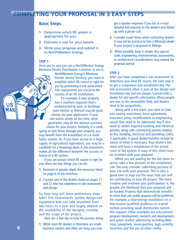# **COMPLETING YOUR PROPOSAL IN 3 EASY STEPS**

# **Basic Steps**

- **1.** Determine which RE system is appropriate for you.
- **2.** Estimate a cost for your system.
- **3.** Write your proposal and submit it to NorthWestern Energy.

## **STEP 1**

Once you're sure you are a NorthWestern Energy Montana Electric Distribution Customer or are in

> NorthWestern Energy's Montana Electric Service Territory, you need to establish which RE source is right for you by performing a site assessment. Site assessments are crucial to the success of an RE installation.

For example, if your property has a southern exposure that's unobstructed by trees or buildings, solar electric or thermal may be good choices for your application. If your site seems windy all the time, wind generation may be the obvious and best choice for your project. Similarly, if a creek, spring or river flows through your property, you may benefit from the installation of a a small hydro system. Or, if you have access to a large supply of agricultural byproducts, you may be a candidate for a bioenergy plant. A site assessment makes all the difference between the success or failure of a RE system.

If you are unsure which RE source is right for you, there are two things you can do:

- **1.** Research in greater depth the resources listed on page 6 of this brochure.
- **2.** Contact one of the dealers listed on pages 11 and 12 who has experience in site assessment and design.

So, how long will these preliminary steps take? Site assessments, system design and equipment bids can take anywhere from two hours to a year and largely depend on the availability of the designer, installer and the scope of the project.

Here are a few tips to help the process along:

**1.** While most RE dealers in Montana are smallbusiness owners and often are busy, you may get a quicker response if you fax or e-mail detailed bid requests to the dealers and follow up with a phone call.

- **2.** Consider travel times when contacting dealers. It may not be practical to hire a Missoula dealer if your project is proposed in Billings.
- **3.** When possible, keep it simple. Any special code, engineering, environmental assessments, or architectural considerations may extend the proposal period.

## **STEP 2**

After you have completed a site assessment to determine your best RE source, the next step is to get a component and installation bid. The site assessment often is part of the design and installation bid, but not always. Consult with a dealer for site-specific information. Many people are new to the renewables field, and dealers tend to be sympathetic.

Along with a bid sheet, you need to look into zoning restrictions, lease agreements, insurance policy modifications or engineering issues that need to be addressed. You'll also need to obtain required building and electrical permits, along with commercial permits relating to fire, building, electrical and plumbing codes, if applicable. A good dealer/installer should be aware of what is necessary. Your dealer's bid sheet will have a breakdown of the actual costs of the system. A copy of this sheet must be included with your proposal.

While you are waiting for the bid sheet to arrive, take a few pictures of the installation site. You may consider submitting pictures of your site with your proposal. This is also a good time to map out the ways that you will be contributing to your RE project. The more creative and involved your participation is, the greater the likelihood that your proposal will be funded. Projects that demonstrate benefits to more than one public purpose will be preferred. For example, a solar-energy installation on a low-income qualified residence, or a wind turbine providing weak distribution system line support. Other examples are educational program development, research and development, and green market advertising including Web sites, pamphlets, municipalities, high visibility locations and the use of other media.

US **MAI**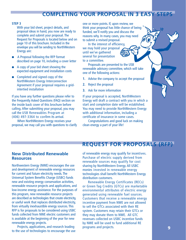# **COMPLETING YOUR PROPOSAL IN 3 EASY STEPS**

## **STEP 3**

With your bid sheet, project details, and proposal ideas in hand, you now are ready to complete and submit your proposal. The Request for Proposals is located below and on page 10 of this brochure. Included in the envelope you will be sending to NorthWestern Energy are:

- A Proposal following the RFP format described on page 10, including a cover letter
- A copy of your bid sheet showing the expected equipment and installation costs
- Completed and signed copy of the NorthWestern Energy Interconnection Agreement if your proposal requires a gridintertied installation

If you have any further questions please refer to the Frequently Asked Questions (FAQ) section on the inside back cover of this brochure before calling. After submitting your proposal, you may call the USB Renewables Program at (406) 497-3364 to confirm its arrival.

When NorthWestern Energy receives your proposal, we may call you with questions to clarify one or more points. If, upon review, we think your proposal has little chance of being funded, we'll notify you and discuss the reasons why. In many cases, you may need to submit a revised proposal.

In the interest of efficiency, we may hold your proposal until we've gathered several for presentation to a committee.

Proposals are presented to the USB renewable advisory committee, which will take one of the following actions:

- **1.** Advise the company to accept the proposal
- **2.** Reject the proposal
- **3.** Ask for more information

If your proposal is accepted, NorthWestern Energy will draft a contract with you in which a start and completion date will be established. You may need to provide NorthWestern Energy with additional information, including a certificate of insurance in some cases.

Congratulations and good luck on making clean energy a part of your life!

# **REQUEST FOR PROPOSALS (RFP)**

# **New Distributed Renewable Resources**

Northwestern Energy (NWE) encourages the use and development of renewable energy resources for current and future electricity needs. The Universal System Benefits Charge (USBC) funds new and existing energy conservation activities, renewable resource projects and applications, and low-income energy assistance. For the purposes of this program, new renewable resource projects are described as technologies that create electricity, or useful work that replaces distributed electricity, from virtually inexhaustible energy sources. This RFP is for proposals to be considered using USBC funds collected from NWE electric customers and is available at the beginning of the year for new renewable energy projects.

Projects, applications, and research leading to the use of technologies to encourage the use of renewable energy may qualify for incentives. Purchase of electric supply derived from renewable sources may qualify for cost sharing by NorthWestern Energy. All USBC monies invested in renewable energy technologies shall benefit NorthWestern Energy distribution customers.

Renewable Energy Certificates (RECs) or Green Tag Credits (GTCs) are marketable environmental attributes of electric energy generated using renewable fuel sources. Customers that receive a renewable energy incentive payment from NWE are not allowed to sell the GTCs associated with their RE system. Customers may retain their GTCs or they may donate them to NWE. All GTC revenues collected on USBC incentive funds by NWE will be used to fund additional RE programs and projects.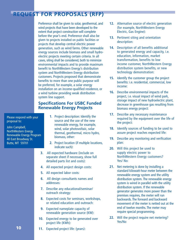# **REQUEST FOR PROPOSALS (RFP)**

Preference shall be given to solar, geothermal, and wind projects that have been developed to the extent that project construction will complete before the year's end. Preference shall also be given to projects installed on public facilities or projects that develop central electric power generation, such as wind farms. Other renewable energy sources include biomass and small hydroelectric projects meeting certain criteria. In all cases, siting shall be considered, both to minimize environmental impacts and to provide maximum benefit to NorthWestern Energy's distribution system and NorthWestern Energy distribution customers. Projects proposed that demonstrate benefits to more than one public purpose will be preferred, for example, a solar energy installation on an income-qualified residence, or a wind turbine providing weak distribution system line support.

# **Specifications For USBC Funded Renewable Energy Projects**

Please respond with your proposal to:

John Campbell, NorthWestern Energy Renewable Energy Program 40 East Broadway St. Butte, MT 59701

- **1**. Project description: Identify the source and the use of the new renewable energy, for example, wind, solar photovoltaic, solar thermal, geothermal, micro hydro, biomass, other:
- **2.** Project location (if multiple locations, indicate such):
- **3.** All expected hardware (include on separate sheet if necessary, show full detailed parts list and costs):
- **4.** All expected project design costs:
- **5.** All expected labor costs:
- **6.** All design consultants names and addresses:
- **7.** Describe any educational/seminar/ outreach strategy:
- **8.** Expected costs for seminars, workshops, or related education and outreach:
- **9.** Expected nameplate capacity of renewable generation source (KW):
- **10.** Expected energy to be generated over project life (KWh):
- **12.** Alternative source of electric generation (for example, NorthWestern Energy Electric, Gas Engine):
- **13.** Pertinent siting and orientation description:
- **14.** Description of all benefits additional to generated energy and capacity, i.e. education, information, market transformation, benefits to low income customer, NorthWestern Energy distribution system benefits, or new technology demonstration:
- **15.** Identify the customer group the project benefits: i.e. residential, commercial, low income:
- **16.** Describe environmental impacts of the project, i.e. visual impact of wind park, storage impact of new hydroelectric plant, decrease in greenhouse gas resulting from biomass energy project:
- **17.** Describe any necessary maintenance required by the equipment over the life of the project:
- **18.** Identify sources of funding to be used to assure project reaches expected life:
- **19.** Describe any monitoring and verification plan:
- **20.** Will this project be used to supply electric power to NorthWestern Energy customers? Yes/ No:
- **21.** Net metering is done by installing a standard kilowatt-hour meter between the renewable energy system and the utility distribution system. The renewable energy system is wired in parallel with the utility distribution system. If the renewable generator generates more power than the premises requires, the meter will run backwards. The forward and backward movement of the meter is netted out at the end of twelve months. The meter may require special programming.
- **22.** Will the project require net metering? Yes/No
- **11.** Expected project life: (years):

**10**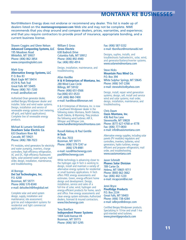# **MONTANA RE BUSINESSES**

NorthWestern Energy does not endorse or recommend any dealer. This list is made up of dealers listed on the **montanagreenpower.com** Web site and may not be complete. NWE recommends that you shop around and compare dealers, prices, warranties, and experience; and that you require contractors to provide proof of insurance, appropriate bonding, and a current business license.

Shawm Coggins and Glenn Nelson **Advanced Composting Systems, LLC** 195 Meadows Road Whitefish, MT 59937 Phone: (406) 862-3854 www.compostingtoilet.com

Mark Gray **Alternative Energy Systems, LLC** P. O. Box 83 Black Eagle MT 59414 4129 N. Park Trail Great Falls MT 59405 Phone: (406) 761-7200 e-mail: aes@sofast.net

Authorized Onan generator dealer, certified Bergey Windpower dealer and installer. Solar and wind water systems. Design, installation and service of renewable energy systems (net metering, off-grid, and hybrid applications). Complete line of renewable energy products.

Michael & Lumarie Strickland **Dearborn Solar Electric Co.** 633 Dearborn River Rd Cascade, MT 59421 Phone: (406) 788-7023

PV modules, wind generators for electricity and water pumping, inverters, charge controllers, high-efficiency refrigeration, AC and DC, high-efficiency fluorescent lights, solar-powered water pumps; mail order, design, installation, maintenance, and troubleshooting.

Al Borrego **Del Sol Technologies, Inc.** P.O. 6268 Bozeman, MT 59771 Phone (406) 570-8340 e-mail: delsoltech@theglobal.net

Complete solar and wind system design, supply, installation and maintenance; site assessment; grid-tie and independent systems for residential and light commercial applications.

William E Gross **Gross Electric** 638 Badrock Drive Columbia Falls, MT 59912 Phone: (406) 892-4940 Fax: (406) 892-4914

Design, installation, maintenance, and troubleshooting.

Allan Hardtke **H & H Enterprises of Montana, Inc.** 280 Wind Cave Circle Billings, MT 59102 Phone: (406) 651-0566 Fax:(406) 651-0533 Cell: (406) 860-7400 e-mail: hardtkeac@bresnan.net

H & H Enterprises of Montana, Inc. is now a Southwest Windpower dealer in the following states: Montana, North Dakota, South Dakota, & Wyoming. They produce the following wind turbines: AIR X, Whisper and Whisper Link. www.handhenterprisesofmontana.com

Russell Aleksey & Paul Gentile **H-Tech** P.O. Box 7033 Bozeman, MT 59771 Phone: (406) 579-7247 or (406) 579-8981 e-mail: russ@htechenergy.com paul@htechenergy.com

While technology is advancing closer to the hydrogen age H-Tech is working to design, install and maintain a variety of alternative energy systems for residential or small business applications. H-Tech offers FREE energy assessments and estimates. Green, energy-efficient home design and development. Design, installation, service and sales of a full-line of solar, wind, hydrogen and energy-efficient products for home, ranch and office. Free energy assessments and clean energy system estimates. Authorized dealers, licensed & insured contractors. www.htechenergy.com

Tony Boniface **Independent Power Systems** 1404 Gold Avenue #4 Bozeman, MT 59715 Phone: (406) 587-5295

Fax: (406) 587-5332 e-mail: tboniface@montanadsl.net

Designs, suplies, installs, and troubleshoots hydroelectric, solar, wind, and generator/battery/inverter systems. www.solarwindmontana.com

Steve Hicks **Mountain Pass Wind Co.** P.O. Box 394 White Sulphur Springs, MT 59645 Phone: (406) 547-2266 e-mail: steveahicks@yahoo.com

Design, install, repair wind generation systems; design, sell, install and service wind and solar systems; mail order, design, installation, maintenance, and troubleshooting.

Chris Daum **Oasis Montana, Inc.** 436 Red Fox Lane Stevensville, MT 59828 Phone: (877) 627-4768 or 4778 Fax: (406) 777-0830 e-mail: info@oasismontana.com

Alternative energy supplies, including solar panels (PV modules) regulators and controllers, inverters, batteries, wind generators, hydro turbines, energyefficient and propane refrigerators; mail order, and troubleshooting. www.oasismontana.com

Jason Schmidt **Phanes Solar Division** 789 Carter Dr. Helena, MT 59601-9711 Phone: (800) 662-3662 Fax: (406) 442-1220 e-mail: mcapcom@ixi.net

Jenni Bryce **PineRidge Products** P.O. Box 2334 Great Falls, MT 59403 Phone: (406) 738-4284 e-mail: wlbryce@direcpc.com

Certified Bergey Windpower products. Specializing in 10-kw and small 1-kw grid-intertied wind turbines. www.pineridgeproducts.com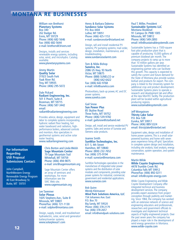# **MONTANA RE BUSINESSES**

William von Brethorst **Planetary Systems** Box 340 262 Badger Rd. Ennis, MT 59729 Phone: (406) 682-5646 Fax: (406) 682-5644 e-mail: brethors@3rivers.net

Designs, installs and services renewable energy systems, including solar, wind, and microhydro. Catalog available. www.planetarysystems.com

Jimmy Martin **Quality Solar** 31923 South Fork Yaak River Rd. Troy, MT 59935 Phone: (406) 295-5072

Dale Pickard **Radiant Engineering, Inc.** 501 E Peach, Suite A Bozeman, MT 59715 Phone: (406) 587-3442 email: radiant@radiantenegineering.com

Provides advice, design, equipment and labor to complete systems incorporating hydronic radiant floor heating, hot water baseboard and radiators, highperformance boilers, advanced controls and monitors. Also specializes in geothermal systems and active solar water heating.

www.radiantengineering.com

**For Information Regarding USB Proposal Submissions Contact:**

John Campbell, NorthWestern Energy Renewable Energy Program 40 East Broadway St. Butte, MT 59701

Chris Borton and Linda Welsh **Sage Mountain Center**  79 Sage Mountain Trail Whitehall, MT 59759 Phone: (406) 494-9875 e-mail: smc@sagemountain.org

Sage Mountain Center offers an array of seminars and workshops. For more information see the SMC Web site. www.sagemountain.org

Lee Tavenner **Solar Plexus**  1605 Stephens Ave., Suite B Missoula, MT 59801 Phone/Fax: (406) 721-1130 e-mail: solplex@montana.com

Design, supply, install, and troubleshoot hydroelectric, solar, wind and generator/ battery/inverter systems. www.solarplexus1.com

Henry & Barbara Dykema **Sundance Solar Systems** P.O. Box 4404 Luther, MT 59051 Phone: (406) 425-1153 e-mail: sundancesolar@starband.net

Design, sell and install residential PV systems; PV pumping systems; mail order, design, installation, maintenance, and troubleshooting. www.sundancesolarmt.com

Tom & Nilda Bishop **Sunelco, Inc.** 2086 US Hwy. 93 North Victor, MT 59875 Phone: (888) SUNELCO or (406) 642-6422 Fax: (406) 642-9768 e-mail: info@sunelco.com

Photovoltaics, back-up power, AC and DC power systems. www.sunelco.com

Gail Snow **Sun Power Plus** 85 Skyline Road Three Forks, MT 59752 Phone: (406) 539-9782 e-mail: gailsnow@starband.net

Design, sell, install and service residential PV systems. Sales and service of Sunwise and Siemens solar products.

Joanne Smith **SunWize Technologies, Inc.** 611 S. 4th Street Hamilton, MT 59840 Phone: (800) 232-7652 Fax: (406) 375-9194 e-mail: sunwize@montana.com

SunWize Technologies specializes in the manufacture of integrated solar power systems and the distribution of solar modules and components, providing solar power systems for industrial, commercial, government and residential applications. www.sunwize.com

Bob Quinn Wendy Kleinsasser **Wind Park Solutions America, LLC** 154 Johannes Ave. East P.O. Box 70 Big Sandy, MT 59520 Phone: (406) 378-2179 Fax: (406) 378-2657 email: info@windpark-solutions.com

Paul T. Miller, President **Sustainable Systems LLC** Montana Biodiesel 91 Campus Dr. PMB 1005 Missoula, MT 59812 Phone: (406) 549-2893 email: info@sustainablesystemsllc.com

Sustainable Systems has a 1500-square foot pilot production plant that is capable of producing 10,000 gallons of premium biodiesel per month. The company projects to ramp up to more than 10 million gallons per year. Sustainable Systems has identified an engineering partner who can facilitate this growth. This capacity is expected to satisfy the current and future demand for the State of Montana plus provide surplus biofuel and products for export. The company is linked to the University system for additional crop and product development. Sustainable Systems plans to operate a research and development lab and office at the new MonTEC facility. The production plant will be located within agricultural producing regions.

www.sustainablesystemsllc.com

Jeff Wongstrom **Thirsty Lake Solar** P.O. Box 538 Eureka, MT 59917 Phone: (406) 889-5324 email: thirstylake@interbel.net

Equipment sales, design and installation of home power systems. This is a small solarpowered business and home with seven years experience living off-grid. Specializes in complete system design and installation, including site analysis, load analysis, energy conservation, system operation, and system maintenance.

Martin Wilde **Wilde Coyote Engineering** 4478 Trumble Creek Rd. Columbia Falls MT 59912 Phone/Fax: (406) 892-0211 email: info@coyote-energy.com

Wilde Coyote Engineering and Wilde Coyote Development Company offer integrated technical and business development services. The company provides expert assistance from project conception through publicity and marketing. Since 1984, the company has worked with an extensive network of science and engineering educators and professionals, researchers and government officials to investigate and implement technical aspects of highly engineered projects. Over the past seven years the company has played a major role in the development of wind energy generation in Montana. www.wilde-coyote.com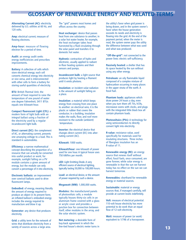# **GLOSSARY OF RENEWABLE ENERGY AND RELATED TERMS**

**Alternating Current (AC):** electricity delivered by U.S. utilities at 60 Hz, and 120 volts.

**Amp:** electrical current; measure of flowing electrons.

**Amp-hour:** measure of flowing electron for a period of time.

**Audit:** an energy audit seeks energy inefficiencies and prescribes improvements.

**Battery:** A collection of cells which store electrical energy; each cell converts chemical energy into electricity or vice versa, and is interconnected with other cells to form a battery for storing useful quantities of electricity.

**BTU:** British Thermal Unit, the amount of heat required to raise the temperature of one pound of water one degree Fahrenheit; 3411 BTUs equals one kilowatt-hour.

**Compact fluorescent Light (CFL):** a modern form of light bulb with an integral ballast using a fraction of the electricity used by a regular incandescent light bulb.

**Direct current (DC):** the complement of AC, or alternating current, presents one unvarying voltage to a load. This is standard in automobiles.

**Efficiency:** a narrow mathematical concept describing the proportion of a resource that can actually be converted into useful product or work; for example, sunlight falling on a PV module contains a given amount of energy, but the module can only convert a percentage of it into electricity.

**Electronic ballasts:** an improvement over core/coil ballasts used to drive fluorescent lamps.

**Embodied:** of energy, meaning literally the amount of energy required to produce an object in its present form; an inflated balloon's embodied energy includes the energy required to manufacture and blow it up.

**Generator:** any device that produces electricity.

**Grid:** a utility term for the network of wires that distribute electricity from a variety of sources across a large area.

The "grid" powers most homes and offices across the country.

**Heat exchanger:** device that passes heat from one substance to another; in a solar hot water heater, for example, the heat exchanger takes heat harvested by a fluid circulating through the solar panel and transfers it to domestic hot water.

**Hydronic:** contraction of hydro and electronic, usually applied to radiant in-floor heating systems and their sensors and pumps.

**Incandescent bulb:** a light source that produces light by heating a filament until it emits photons.

**Insolation:** or incident solar-radiation is the amount of sunlight falling on a place.

**Insulation:** a material which keeps energy from crossing from one place to another: on electrical wire, it is the plastic or rubber that covers the conductor; in a building, insulation makes the walls, floor, and roof more resistant to the outside (ambient) temperature.

**Inverter:** the electrical device that changes direct current (DC) into alternating current (AC).

**Kilowatt:** 1000 watts.

**Kilowatt/hour:** one kilowatt of power used for one hour. A typical house uses 750 kW/hrs per month.

**LED:** Light Emitting Diode. A very efficient source of electrical lighting, typically lasting 50,000 to 100,000 hours.

**Load:** an electrical device, or the amount of power required by such a device.

**Megawatt (MW):** 1,000,000 watts.

**Modules:** the manufactured panels of photovoltaic cells; a module typically houses thirty-six cells in an aluminum frame covered with a glass or acrylic cover and provides a junction box for connection between itself, other modules in the array, and the solar electric system.

**Net metering:** a desirable form of buy-back agreement in which the line-tied house's electric meter turns in the utility's favor when grid power is being drawn, and in the system owner's favor when the house generation exceeds its needs and electricity is flowing into the grid. At the end of the payment period, when the meter is read, the system owner pays the utility the difference between what was used and what was produced.

**"Off-the-grid":** not connected to the power lines: electric self-sufficiency.

**Passively heated:** a shelter that has its space heated by the sun without using any other energy.

**Petroleum:** an oily flammable liquid composed of a complex mixture of hydrocarbon occurring in many places in the upper strata of the earth. A fossil fuel.

**Phantom loads:** appliances which draw power 24 hours a day, even when you turn them off. TVs, VCRs, microwave ovens with clocks, and plugs with the integrated little black box all contain phantom loads.

**Photovoltaics (PVs):** A technology for using semiconductors to directly convert light into electricity.

**R-value:** resistance value, used specifically for materials used for insulating structures. Three inches of fiberglass insulation has an R-value of 11.

**Renewable energy (RE):** an energy source that renews itself without effort; fossil fuels, once consumed, are gone forever, while solar energy is renewable in that the sun we harvest today has no effect on the sun we can harvest tomorrow.

**Renewables:** shorthand for renewable energy or material sources.

**Sustainable:** material or energy sources that, if managed carefully, will provide at current levels indefinitely.

**Volt:** measure of electrical potential. 110-volt house electricity has more potential to do work than an equal flow of 12-volt electricity.

**Watt:** measure of power (or work) equivalent to 1/746 of a horsepower.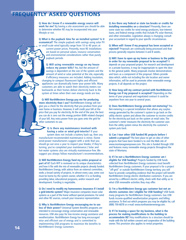# **FREQUENTLY ASKED QUESTIONS**

**Q: How do I know if a renewable energy source will work for me?** By having a site assessment you should be able to determine whether RE may be incorporated into your lifestyle or not.

**Q: What is the payback time for an installed system? Is it economical?** The simple payback with savings using solar PV or small-scale wind typically range from 10 to 40 years at

current power prices. Presently, most RE installations are based on personal values, resource conservation and environmental considerations rather than purely payback periods.

**Q: Will using renewable energy on my house reduce my power bills?** Yes, but the amount of savings is dependent on the size of the system and the amount of wind or solar potential at the site, especially if efficiency measures are included. Adding insulation, changing to compact fluorescent lights and efficient appliances can dramatically lower your power bills. Many customers are able to watch their electricity meters run backwards as their homes deliver electricity back to the system at times when their own energy needs are low.

**Q: Will NorthWestern Energy pay me for producing more electricity than I use?** NorthWestern Energy will not give you a check for the electricity that you produce from your own home or business. However, it will credit your bill at the price that you pay for electricity. At the end of the year, the best you can do is zero out the energy portion (kWh related charges) of your bill. Any extra power from you goes onto the grid for other customers to use.

**Q: Is there any maintenance involved with having a solar or wind grid-intertie?** If your system does not include a battery back-up, then any manufacturer-recommended maintenance is minor. (Some wind-power manufacturers suggest with a wink that you should go out once a year to inspect your blades; if they're turning, you've completed your maintenance.) Solar and hot-water systems also are virtually maintenance-free. We suggest you always follow manufacturer's recommendations.

**Q: Will NorthWestern Energy fund my entire proposal or part of it?** Each RFP is reviewed on its unique characteristics and how it fits with the mix of renewable projects already funded. NorthWestern Energy, with advice from an external committee, seeks a broad variety of projects. In almost every case, some cost must be borne by the system owner, whether it is co-funding, providing labor, educational programs, and/or research and development. Funding is negotiable.

**Q: Do I need to modify my homeowners insurance if I install a grid-intertie system?** Major insurance companies insure solar systems as a part of the home without special provisions. For wind and other RE sources, consult your insurance representative.

**Q: Why is NorthWestern Energy encouraging me to use less of their power?** Universal System Benefits programs are intended to encourage energy conservation and renewable resources. USB also pays for low-income energy assistance and weatherization. NorthWestern Energy has long encouraged wise and efficient use of energy and is committed to implementing USB programs to maximize the benefits to NorthWestern Energy customers.

**Q: Are there any federal or state tax breaks or credits for installing renewables on a structure?** Presently, there are some state tax credits for wind energy producers, low-interest loans, and federal energy credits that include PV, solar thermal, and other renewables. Legislation always is changing; consult your accountant in regard to your specific circumstances.

**Q: When will I know if my proposal has been accepted or rejected?** Proposals are continually being processed and that process generally requires between 4 and 8 weeks.

**Q: Will I have to open up my home or business to the public in order for my renewable proposal to be accepted?** It depends on your proposed project. For research and development or a private business, it may be inappropriate to open the door to the general public. Many proposals involve demonstrations and tours as a component of the proposal. Others provide data which, while not including the site location and owner information, will be used to promote other renewable energy projects. It all depends on the project.

**Q: How long will my contract period with NorthWestern Energy run if my proposal is accepted?** Depending on the terms of your proposal and negotiated contract it could be anywhere from one year to several years.

**Q: Does NorthWestern Energy provide net-metering?** Yes. Net-metering is a special installation that allows any surplus energy generated by the customer's system to go back on the utility electric system and allows the customer to receive credits for the electricity put back on the system at retail rates. The customer's meter measures the electricity the customer uses from the utility system minus the electricity the customer's system puts back.

**Q: Can I tour other USB funded RE projects before I submit a proposal?** The best place to get an idea of other projects that have been funded is to visit the Web site of www.montanagreenpower.com. This site is funded through USB and features many renewable energy projects throughout the state of Montana.

**Q: If I'm not a NorthWestern Energy customer am I eligible for USB funding?** Projects funded by USB funds collected from NorthWestern Energy customers must benefit NorthWestern Energy customers. If your proposal is for a project "off-grid" or outside NorthWestern Energy territory, you will have to provide compelling evidence that the project will benefit NorthWestern Energy electric distribution customers. If you are served by a different electric utility, check with that utility as to what USB renewable activities they may offer.

**Q: I'm a NorthWestern Energy gas customer but not an electric customer. Am I eligible for USB funding?** USB funds many programs for NorthWestern Energy customers. Gas USB funds income-qualified weatherization programs and billing assistance. To find out which programs you may be eligible for, call (888) 700-6878 or e-mail: www.northwesternenergy.com.

**Q: If I'm leasing a space for my business, what is the process for making modifications to the building to accommodate RE?** Any modifications to a structure should be made with the full written consent and cooperation of the building owner. This provision also applies to rental properties.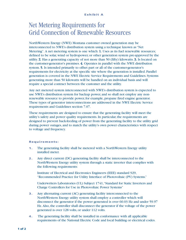# Net Metering Requirements for Grid Connection of Renewable Resources

NorthWestern Energy (NWE) Montana customer owned generation may be interconnected to NWE's distribution system using a technique known as "Net Metering". A net metering system is one which: 1. Uses as its fuel renewable resources; defined to be solar, wind or hydropower, or other generation system pre-approved by the utility. 2. Has a generating capacity of not more than 50 (fifty) kilowatts. 3. Is located on the customer-generator's premises. 4. Operates in parallel with the NWE distribution system. 5. Is intended primarily to offset part or all of the customer-generator's requirements for electricity at the specific site where the generation is installed. Parallel generation is covered in the NWE Electric Service Requirements and Guidelines. Systems generating more than 50 kilowatts will be handled on an individual basis and will require a special contract between the customer and the utility.

Any net metered system interconnected with NWE's distribution system is expected to use NWE's distribution system for backup power, and so shall not employ any nonrenewable resource to provide power, for example, propane fired engine generator. These types of generator interconnections are addressed in the NWE Electric Service requirements and Guidelines section 7.07.

These requirements are designed to ensure that the generating facility will meet the utility's safety and power quality requirements. In particular, the requirements are designed to prevent back-feeding of power from the generating facility to the utility grid during power outages, and to match the utility's own power characteristics with respect to voltage and frequency.

## **Requirements:**

- **1.** The generating facility shall be metered with a NorthWestern Energy utility installed meter.
- **2.** Any direct current (DC) generating facility shall be interconnected to the NorthWestern Energy utility system through a static inverter that complies with the following requirements:

Institute of Electrical and Electronics Engineers (IEEE) standard 929, "Recommended Practice for Utility Interface of Photovoltaic (PV) Systems."

Underwriters Laboratories (UL) Subject 1741,"Standard for Static Inverters and Charge Controllers for Use in Photovoltaic Power Systems"

- **3.** Any alternating current (AC) generating facility interconnected to the NorthWestern Energy utility system shall employ a controller which will disconnect the generator if the power generated is over 60.03 Hz and under 59.97 Hz. Also, the controller shall disconnect the generator if the voltage of the power generated is over 128 volts, or under 112 volts.
- **4.** The generating facility shall be installed in conformance with all applicable requirements of the National Electric Code and local building or electrical codes.